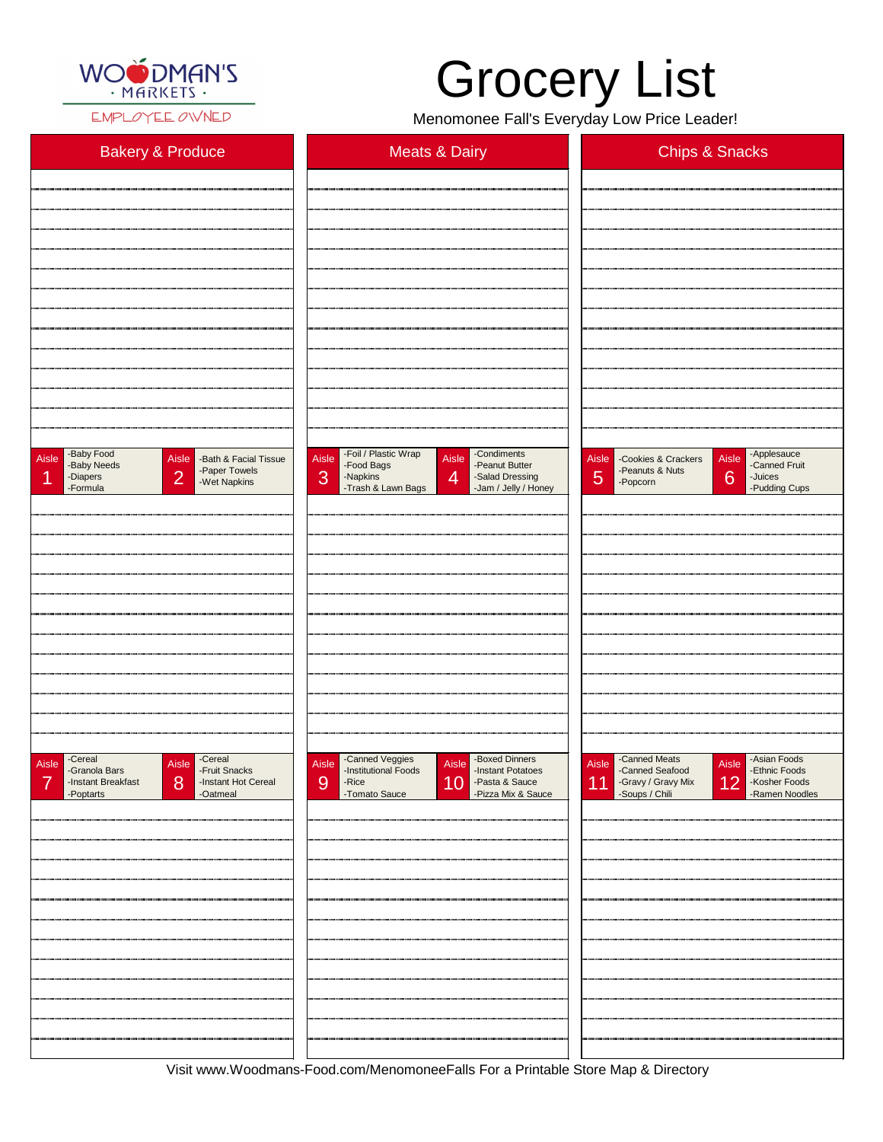

EMPLOYEE OWNED

## Grocery List

Menomonee Fall's Everyday Low Price Leader!

| <b>Bakery &amp; Produce</b>                                                                                                               | <b>Meats &amp; Dairy</b>                                                                                                                                                                  | <b>Chips &amp; Snacks</b>                                                                                                                  |
|-------------------------------------------------------------------------------------------------------------------------------------------|-------------------------------------------------------------------------------------------------------------------------------------------------------------------------------------------|--------------------------------------------------------------------------------------------------------------------------------------------|
|                                                                                                                                           |                                                                                                                                                                                           |                                                                                                                                            |
|                                                                                                                                           |                                                                                                                                                                                           |                                                                                                                                            |
|                                                                                                                                           |                                                                                                                                                                                           |                                                                                                                                            |
|                                                                                                                                           |                                                                                                                                                                                           |                                                                                                                                            |
|                                                                                                                                           |                                                                                                                                                                                           |                                                                                                                                            |
|                                                                                                                                           |                                                                                                                                                                                           |                                                                                                                                            |
|                                                                                                                                           |                                                                                                                                                                                           |                                                                                                                                            |
|                                                                                                                                           |                                                                                                                                                                                           |                                                                                                                                            |
|                                                                                                                                           |                                                                                                                                                                                           |                                                                                                                                            |
|                                                                                                                                           |                                                                                                                                                                                           |                                                                                                                                            |
| -Baby Food<br>Aisle<br>Aisle<br>-Bath & Facial Tissue<br>-Baby Needs<br>-Paper Towels<br> 2 <br>-Diapers<br>и<br>-Wet Napkins<br>-Formula | -Foil / Plastic Wrap<br>-Condiments<br>Aisle<br>Aisle<br>-Peanut Butter<br>-Food Bags<br>3<br>$\overline{4}$<br>-Napkins<br>-Salad Dressing<br>-Trash & Lawn Bags<br>-Jam / Jelly / Honey | -Applesauce<br>Aisle<br>Aisle<br>-Cookies & Crackers<br>-Canned Fruit<br>-Peanuts & Nuts<br>5<br>6<br>-Juices<br>-Popcorn<br>-Pudding Cups |
|                                                                                                                                           |                                                                                                                                                                                           |                                                                                                                                            |
|                                                                                                                                           |                                                                                                                                                                                           |                                                                                                                                            |
|                                                                                                                                           |                                                                                                                                                                                           |                                                                                                                                            |
|                                                                                                                                           |                                                                                                                                                                                           |                                                                                                                                            |
|                                                                                                                                           |                                                                                                                                                                                           |                                                                                                                                            |
|                                                                                                                                           |                                                                                                                                                                                           |                                                                                                                                            |
|                                                                                                                                           |                                                                                                                                                                                           |                                                                                                                                            |
|                                                                                                                                           |                                                                                                                                                                                           |                                                                                                                                            |
|                                                                                                                                           |                                                                                                                                                                                           |                                                                                                                                            |
| -Cereal<br>-Cereal<br>-Fruit Snacks<br>Aisle<br>Aisle<br>-Granola Bars                                                                    | -Canned Veggies<br>-Institutional Foods<br>-Boxed Dinners<br>Aisle<br>Aisle<br>-Instant Potatoes                                                                                          | -Canned Meats<br>-Canned Seafood<br>-Asian Foods<br><b>Aisle</b><br>Aisle<br>-Ethnic Foods                                                 |

| -Instant Breakfast<br>-Poptarts | -Instant Hot Cereal<br>8 <sup>8</sup><br>-Oatmeal | 9<br>-Rice<br>-Tomato Sauce | 10 - Pasta & Sauce<br>- Pizza Mix & Sauce | -Gravy / Gravy Mix 12<br>11 | -Kosher Foods<br>-Ramen Noodles |
|---------------------------------|---------------------------------------------------|-----------------------------|-------------------------------------------|-----------------------------|---------------------------------|
|                                 |                                                   |                             |                                           |                             |                                 |
|                                 |                                                   |                             |                                           |                             |                                 |
|                                 |                                                   |                             |                                           |                             |                                 |
|                                 |                                                   |                             |                                           |                             |                                 |
|                                 |                                                   |                             |                                           |                             |                                 |
|                                 |                                                   |                             |                                           |                             |                                 |
|                                 |                                                   |                             |                                           |                             |                                 |
|                                 |                                                   |                             |                                           |                             |                                 |
|                                 |                                                   |                             |                                           |                             |                                 |
|                                 |                                                   |                             |                                           |                             |                                 |
|                                 |                                                   |                             |                                           |                             |                                 |

Visit www.Woodmans-Food.com/MenomoneeFalls For a Printable Store Map & Directory